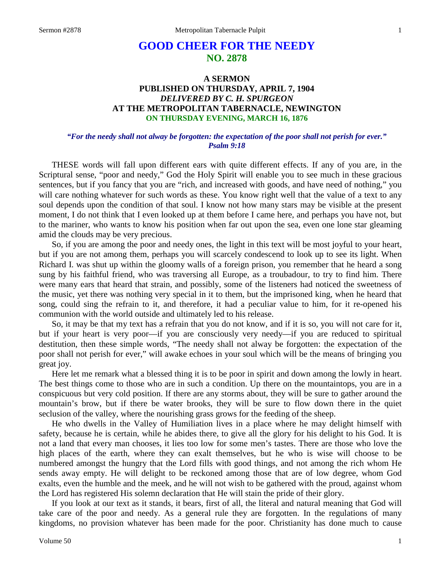## **GOOD CHEER FOR THE NEEDY NO. 2878**

## **A SERMON PUBLISHED ON THURSDAY, APRIL 7, 1904** *DELIVERED BY C. H. SPURGEON* **AT THE METROPOLITAN TABERNACLE, NEWINGTON ON THURSDAY EVENING, MARCH 16, 1876**

## *"For the needy shall not alway be forgotten: the expectation of the poor shall not perish for ever." Psalm 9:18*

THESE words will fall upon different ears with quite different effects. If any of you are, in the Scriptural sense, "poor and needy," God the Holy Spirit will enable you to see much in these gracious sentences, but if you fancy that you are "rich, and increased with goods, and have need of nothing," you will care nothing whatever for such words as these. You know right well that the value of a text to any soul depends upon the condition of that soul. I know not how many stars may be visible at the present moment, I do not think that I even looked up at them before I came here, and perhaps you have not, but to the mariner, who wants to know his position when far out upon the sea, even one lone star gleaming amid the clouds may be very precious.

So, if you are among the poor and needy ones, the light in this text will be most joyful to your heart, but if you are not among them, perhaps you will scarcely condescend to look up to see its light. When Richard I. was shut up within the gloomy walls of a foreign prison, you remember that he heard a song sung by his faithful friend, who was traversing all Europe, as a troubadour, to try to find him. There were many ears that heard that strain, and possibly, some of the listeners had noticed the sweetness of the music, yet there was nothing very special in it to them, but the imprisoned king, when he heard that song, could sing the refrain to it, and therefore, it had a peculiar value to him, for it re-opened his communion with the world outside and ultimately led to his release.

So, it may be that my text has a refrain that you do not know, and if it is so, you will not care for it, but if your heart is very poor—if you are consciously very needy—if you are reduced to spiritual destitution, then these simple words, "The needy shall not alway be forgotten: the expectation of the poor shall not perish for ever," will awake echoes in your soul which will be the means of bringing you great joy.

Here let me remark what a blessed thing it is to be poor in spirit and down among the lowly in heart. The best things come to those who are in such a condition. Up there on the mountaintops, you are in a conspicuous but very cold position. If there are any storms about, they will be sure to gather around the mountain's brow, but if there be water brooks, they will be sure to flow down there in the quiet seclusion of the valley, where the nourishing grass grows for the feeding of the sheep.

He who dwells in the Valley of Humiliation lives in a place where he may delight himself with safety, because he is certain, while he abides there, to give all the glory for his delight to his God. It is not a land that every man chooses, it lies too low for some men's tastes. There are those who love the high places of the earth, where they can exalt themselves, but he who is wise will choose to be numbered amongst the hungry that the Lord fills with good things, and not among the rich whom He sends away empty. He will delight to be reckoned among those that are of low degree, whom God exalts, even the humble and the meek, and he will not wish to be gathered with the proud, against whom the Lord has registered His solemn declaration that He will stain the pride of their glory.

If you look at our text as it stands, it bears, first of all, the literal and natural meaning that God will take care of the poor and needy. As a general rule they are forgotten. In the regulations of many kingdoms, no provision whatever has been made for the poor. Christianity has done much to cause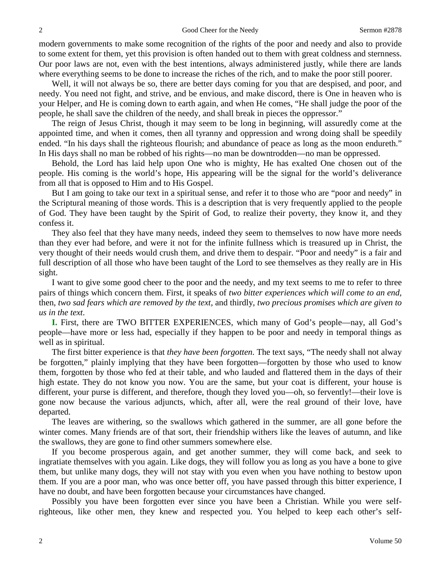modern governments to make some recognition of the rights of the poor and needy and also to provide to some extent for them, yet this provision is often handed out to them with great coldness and sternness. Our poor laws are not, even with the best intentions, always administered justly, while there are lands where everything seems to be done to increase the riches of the rich, and to make the poor still poorer.

Well, it will not always be so, there are better days coming for you that are despised, and poor, and needy. You need not fight, and strive, and be envious, and make discord, there is One in heaven who is your Helper, and He is coming down to earth again, and when He comes, "He shall judge the poor of the people, he shall save the children of the needy, and shall break in pieces the oppressor."

The reign of Jesus Christ, though it may seem to be long in beginning, will assuredly come at the appointed time, and when it comes, then all tyranny and oppression and wrong doing shall be speedily ended. "In his days shall the righteous flourish; and abundance of peace as long as the moon endureth." In His days shall no man be robbed of his rights—no man be downtrodden—no man be oppressed.

Behold, the Lord has laid help upon One who is mighty, He has exalted One chosen out of the people. His coming is the world's hope, His appearing will be the signal for the world's deliverance from all that is opposed to Him and to His Gospel.

But I am going to take our text in a spiritual sense, and refer it to those who are "poor and needy" in the Scriptural meaning of those words. This is a description that is very frequently applied to the people of God. They have been taught by the Spirit of God, to realize their poverty, they know it, and they confess it.

They also feel that they have many needs, indeed they seem to themselves to now have more needs than they ever had before, and were it not for the infinite fullness which is treasured up in Christ, the very thought of their needs would crush them, and drive them to despair. "Poor and needy" is a fair and full description of all those who have been taught of the Lord to see themselves as they really are in His sight.

I want to give some good cheer to the poor and the needy, and my text seems to me to refer to three pairs of things which concern them. First, it speaks of *two bitter experiences which will come to an end,* then, *two sad fears which are removed by the text,* and thirdly, *two precious promises which are given to us in the text*.

**I.** First, there are TWO BITTER EXPERIENCES, which many of God's people—nay, all God's people—have more or less had, especially if they happen to be poor and needy in temporal things as well as in spiritual.

The first bitter experience is that *they have been forgotten*. The text says, "The needy shall not alway be forgotten," plainly implying that they have been forgotten—forgotten by those who used to know them, forgotten by those who fed at their table, and who lauded and flattered them in the days of their high estate. They do not know you now. You are the same, but your coat is different, your house is different, your purse is different, and therefore, though they loved you—oh, so fervently!—their love is gone now because the various adjuncts, which, after all, were the real ground of their love, have departed.

The leaves are withering, so the swallows which gathered in the summer, are all gone before the winter comes. Many friends are of that sort, their friendship withers like the leaves of autumn, and like the swallows, they are gone to find other summers somewhere else.

If you become prosperous again, and get another summer, they will come back, and seek to ingratiate themselves with you again. Like dogs, they will follow you as long as you have a bone to give them, but unlike many dogs, they will not stay with you even when you have nothing to bestow upon them. If you are a poor man, who was once better off, you have passed through this bitter experience, I have no doubt, and have been forgotten because your circumstances have changed.

Possibly you have been forgotten ever since you have been a Christian. While you were selfrighteous, like other men, they knew and respected you. You helped to keep each other's self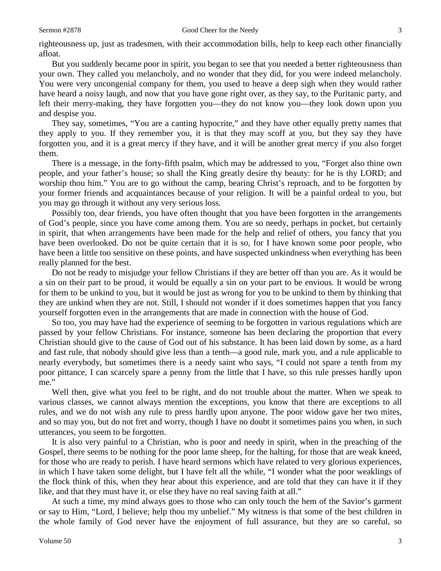righteousness up, just as tradesmen, with their accommodation bills, help to keep each other financially afloat.

But you suddenly became poor in spirit, you began to see that you needed a better righteousness than your own. They called you melancholy, and no wonder that they did, for you were indeed melancholy. You were very uncongenial company for them, you used to heave a deep sigh when they would rather have heard a noisy laugh, and now that you have gone right over, as they say, to the Puritanic party, and left their merry-making, they have forgotten you—they do not know you—they look down upon you and despise you.

They say, sometimes, "You are a canting hypocrite," and they have other equally pretty names that they apply to you. If they remember you, it is that they may scoff at you, but they say they have forgotten you, and it is a great mercy if they have, and it will be another great mercy if you also forget them.

There is a message, in the forty-fifth psalm, which may be addressed to you, "Forget also thine own people, and your father's house; so shall the King greatly desire thy beauty: for he is thy LORD; and worship thou him." You are to go without the camp, bearing Christ's reproach, and to be forgotten by your former friends and acquaintances because of your religion. It will be a painful ordeal to you, but you may go through it without any very serious loss.

Possibly too, dear friends, you have often thought that you have been forgotten in the arrangements of God's people, since you have come among them. You are so needy, perhaps in pocket, but certainly in spirit, that when arrangements have been made for the help and relief of others, you fancy that you have been overlooked. Do not be quite certain that it is so, for I have known some poor people, who have been a little too sensitive on these points, and have suspected unkindness when everything has been really planned for the best.

Do not be ready to misjudge your fellow Christians if they are better off than you are. As it would be a sin on their part to be proud, it would be equally a sin on your part to be envious. It would be wrong for them to be unkind to you, but it would be just as wrong for you to be unkind to them by thinking that they are unkind when they are not. Still, I should not wonder if it does sometimes happen that you fancy yourself forgotten even in the arrangements that are made in connection with the house of God.

So too, you may have had the experience of seeming to be forgotten in various regulations which are passed by your fellow Christians. For instance, someone has been declaring the proportion that every Christian should give to the cause of God out of his substance. It has been laid down by some, as a hard and fast rule, that nobody should give less than a tenth—a good rule, mark you, and a rule applicable to nearly everybody, but sometimes there is a needy saint who says, "I could not spare a tenth from my poor pittance, I can scarcely spare a penny from the little that I have, so this rule presses hardly upon me."

Well then, give what you feel to be right, and do not trouble about the matter. When we speak to various classes, we cannot always mention the exceptions, you know that there are exceptions to all rules, and we do not wish any rule to press hardly upon anyone. The poor widow gave her two mites, and so may you, but do not fret and worry, though I have no doubt it sometimes pains you when, in such utterances, you seem to be forgotten.

It is also very painful to a Christian, who is poor and needy in spirit, when in the preaching of the Gospel, there seems to be nothing for the poor lame sheep, for the halting, for those that are weak kneed, for those who are ready to perish. I have heard sermons which have related to very glorious experiences, in which I have taken some delight, but I have felt all the while, "I wonder what the poor weaklings of the flock think of this, when they hear about this experience, and are told that they can have it if they like, and that they must have it, or else they have no real saving faith at all."

At such a time, my mind always goes to those who can only touch the hem of the Savior's garment or say to Him, "Lord, I believe; help thou my unbelief." My witness is that some of the best children in the whole family of God never have the enjoyment of full assurance, but they are so careful, so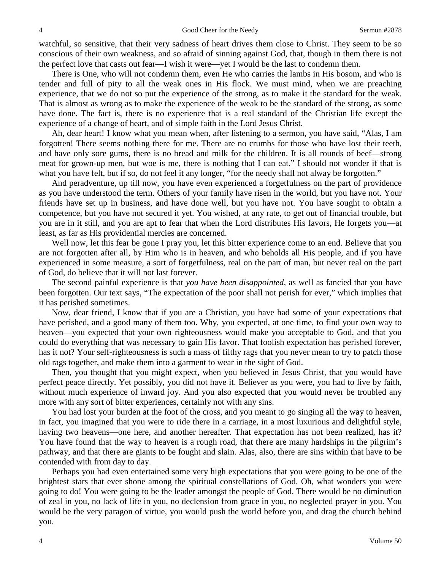watchful, so sensitive, that their very sadness of heart drives them close to Christ. They seem to be so conscious of their own weakness, and so afraid of sinning against God, that, though in them there is not the perfect love that casts out fear—I wish it were—yet I would be the last to condemn them.

There is One, who will not condemn them, even He who carries the lambs in His bosom, and who is tender and full of pity to all the weak ones in His flock. We must mind, when we are preaching experience, that we do not so put the experience of the strong, as to make it the standard for the weak. That is almost as wrong as to make the experience of the weak to be the standard of the strong, as some have done. The fact is, there is no experience that is a real standard of the Christian life except the experience of a change of heart, and of simple faith in the Lord Jesus Christ.

Ah, dear heart! I know what you mean when, after listening to a sermon, you have said, "Alas, I am forgotten! There seems nothing there for me. There are no crumbs for those who have lost their teeth, and have only sore gums, there is no bread and milk for the children. It is all rounds of beef—strong meat for grown-up men, but woe is me, there is nothing that I can eat." I should not wonder if that is what you have felt, but if so, do not feel it any longer, "for the needy shall not alway be forgotten."

And peradventure, up till now, you have even experienced a forgetfulness on the part of providence as you have understood the term. Others of your family have risen in the world, but you have not. Your friends have set up in business, and have done well, but you have not. You have sought to obtain a competence, but you have not secured it yet. You wished, at any rate, to get out of financial trouble, but you are in it still, and you are apt to fear that when the Lord distributes His favors, He forgets you—at least, as far as His providential mercies are concerned.

Well now, let this fear be gone I pray you, let this bitter experience come to an end. Believe that you are not forgotten after all, by Him who is in heaven, and who beholds all His people, and if you have experienced in some measure, a sort of forgetfulness, real on the part of man, but never real on the part of God, do believe that it will not last forever.

The second painful experience is that *you have been disappointed,* as well as fancied that you have been forgotten. Our text says, "The expectation of the poor shall not perish for ever," which implies that it has perished sometimes.

Now, dear friend, I know that if you are a Christian, you have had some of your expectations that have perished, and a good many of them too. Why, you expected, at one time, to find your own way to heaven—you expected that your own righteousness would make you acceptable to God, and that you could do everything that was necessary to gain His favor. That foolish expectation has perished forever, has it not? Your self-righteousness is such a mass of filthy rags that you never mean to try to patch those old rags together, and make them into a garment to wear in the sight of God.

Then, you thought that you might expect, when you believed in Jesus Christ, that you would have perfect peace directly. Yet possibly, you did not have it. Believer as you were, you had to live by faith, without much experience of inward joy. And you also expected that you would never be troubled any more with any sort of bitter experiences, certainly not with any sins.

You had lost your burden at the foot of the cross, and you meant to go singing all the way to heaven, in fact, you imagined that you were to ride there in a carriage, in a most luxurious and delightful style, having two heavens—one here, and another hereafter. That expectation has not been realized, has it? You have found that the way to heaven is a rough road, that there are many hardships in the pilgrim's pathway, and that there are giants to be fought and slain. Alas, also, there are sins within that have to be contended with from day to day.

Perhaps you had even entertained some very high expectations that you were going to be one of the brightest stars that ever shone among the spiritual constellations of God. Oh, what wonders you were going to do! You were going to be the leader amongst the people of God. There would be no diminution of zeal in you, no lack of life in you, no declension from grace in you, no neglected prayer in you. You would be the very paragon of virtue, you would push the world before you, and drag the church behind you.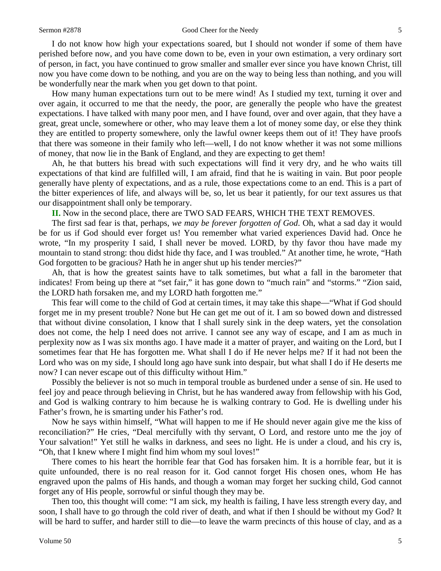I do not know how high your expectations soared, but I should not wonder if some of them have perished before now, and you have come down to be, even in your own estimation, a very ordinary sort of person, in fact, you have continued to grow smaller and smaller ever since you have known Christ, till now you have come down to be nothing, and you are on the way to being less than nothing, and you will be wonderfully near the mark when you get down to that point.

How many human expectations turn out to be mere wind! As I studied my text, turning it over and over again, it occurred to me that the needy, the poor, are generally the people who have the greatest expectations. I have talked with many poor men, and I have found, over and over again, that they have a great, great uncle, somewhere or other, who may leave them a lot of money some day, or else they think they are entitled to property somewhere, only the lawful owner keeps them out of it! They have proofs that there was someone in their family who left—well, I do not know whether it was not some millions of money, that now lie in the Bank of England, and they are expecting to get them!

Ah, he that butters his bread with such expectations will find it very dry, and he who waits till expectations of that kind are fulfilled will, I am afraid, find that he is waiting in vain. But poor people generally have plenty of expectations, and as a rule, those expectations come to an end. This is a part of the bitter experiences of life, and always will be, so, let us bear it patiently, for our text assures us that our disappointment shall only be temporary.

**II.** Now in the second place, there are TWO SAD FEARS, WHICH THE TEXT REMOVES.

The first sad fear is that, perhaps, *we may be forever forgotten of God*. Oh, what a sad day it would be for us if God should ever forget us! You remember what varied experiences David had. Once he wrote, "In my prosperity I said, I shall never be moved. LORD, by thy favor thou have made my mountain to stand strong: thou didst hide thy face, and I was troubled." At another time, he wrote, "Hath God forgotten to be gracious? Hath he in anger shut up his tender mercies?"

Ah, that is how the greatest saints have to talk sometimes, but what a fall in the barometer that indicates! From being up there at "set fair," it has gone down to "much rain" and "storms." "Zion said, the LORD hath forsaken me, and my LORD hath forgotten me."

This fear will come to the child of God at certain times, it may take this shape—"What if God should forget me in my present trouble? None but He can get me out of it. I am so bowed down and distressed that without divine consolation, I know that I shall surely sink in the deep waters, yet the consolation does not come, the help I need does not arrive. I cannot see any way of escape, and I am as much in perplexity now as I was six months ago. I have made it a matter of prayer, and waiting on the Lord, but I sometimes fear that He has forgotten me. What shall I do if He never helps me? If it had not been the Lord who was on my side, I should long ago have sunk into despair, but what shall I do if He deserts me now? I can never escape out of this difficulty without Him."

Possibly the believer is not so much in temporal trouble as burdened under a sense of sin. He used to feel joy and peace through believing in Christ, but he has wandered away from fellowship with his God, and God is walking contrary to him because he is walking contrary to God. He is dwelling under his Father's frown, he is smarting under his Father's rod.

Now he says within himself, "What will happen to me if He should never again give me the kiss of reconciliation?" He cries, "Deal mercifully with thy servant, O Lord, and restore unto me the joy of Your salvation!" Yet still he walks in darkness, and sees no light. He is under a cloud, and his cry is, "Oh, that I knew where I might find him whom my soul loves!"

There comes to his heart the horrible fear that God has forsaken him. It is a horrible fear, but it is quite unfounded, there is no real reason for it. God cannot forget His chosen ones, whom He has engraved upon the palms of His hands, and though a woman may forget her sucking child, God cannot forget any of His people, sorrowful or sinful though they may be.

Then too, this thought will come: "I am sick, my health is failing, I have less strength every day, and soon, I shall have to go through the cold river of death, and what if then I should be without my God? It will be hard to suffer, and harder still to die—to leave the warm precincts of this house of clay, and as a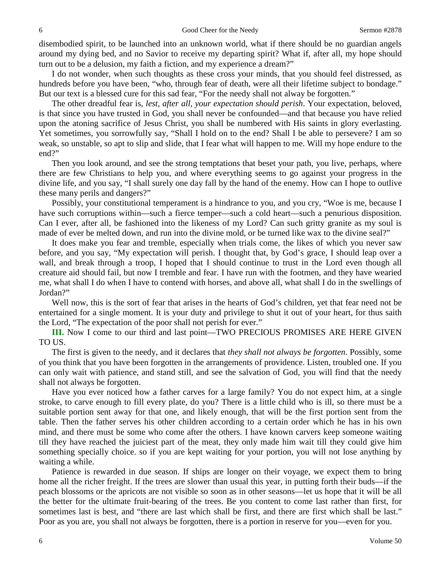disembodied spirit, to be launched into an unknown world, what if there should be no guardian angels around my dying bed, and no Savior to receive my departing spirit? What if, after all, my hope should turn out to be a delusion, my faith a fiction, and my experience a dream?"

I do not wonder, when such thoughts as these cross your minds, that you should feel distressed, as hundreds before you have been, "who, through fear of death, were all their lifetime subject to bondage." But our text is a blessed cure for this sad fear, "For the needy shall not alway be forgotten."

The other dreadful fear is, *lest, after all, your expectation should perish*. Your expectation, beloved, is that since you have trusted in God, you shall never be confounded—and that because you have relied upon the atoning sacrifice of Jesus Christ, you shall be numbered with His saints in glory everlasting. Yet sometimes, you sorrowfully say, "Shall I hold on to the end? Shall I be able to persevere? I am so weak, so unstable, so apt to slip and slide, that I fear what will happen to me. Will my hope endure to the end?"

Then you look around, and see the strong temptations that beset your path, you live, perhaps, where there are few Christians to help you, and where everything seems to go against your progress in the divine life, and you say, "I shall surely one day fall by the hand of the enemy. How can I hope to outlive these many perils and dangers?"

Possibly, your constitutional temperament is a hindrance to you, and you cry, "Woe is me, because I have such corruptions within—such a fierce temper—such a cold heart—such a penurious disposition. Can I ever, after all, be fashioned into the likeness of my Lord? Can such gritty granite as my soul is made of ever be melted down, and run into the divine mold, or be turned like wax to the divine seal?"

It does make you fear and tremble, especially when trials come, the likes of which you never saw before, and you say, "My expectation will perish. I thought that, by God's grace, I should leap over a wall, and break through a troop, I hoped that I should continue to trust in the Lord even though all creature aid should fail, but now I tremble and fear. I have run with the footmen, and they have wearied me, what shall I do when I have to contend with horses, and above all, what shall I do in the swellings of Jordan?"

Well now, this is the sort of fear that arises in the hearts of God's children, yet that fear need not be entertained for a single moment. It is your duty and privilege to shut it out of your heart, for thus saith the Lord, "The expectation of the poor shall not perish for ever."

**III.** Now I come to our third and last point—TWO PRECIOUS PROMISES ARE HERE GIVEN TO US.

The first is given to the needy, and it declares that *they shall not always be forgotten*. Possibly, some of you think that you have been forgotten in the arrangements of providence. Listen, troubled one. If you can only wait with patience, and stand still, and see the salvation of God, you will find that the needy shall not always be forgotten.

Have you ever noticed how a father carves for a large family? You do not expect him, at a single stroke, to carve enough to fill every plate, do you? There is a little child who is ill, so there must be a suitable portion sent away for that one, and likely enough, that will be the first portion sent from the table. Then the father serves his other children according to a certain order which he has in his own mind, and there must be some who come after the others. I have known carvers keep someone waiting till they have reached the juiciest part of the meat, they only made him wait till they could give him something specially choice. so if you are kept waiting for your portion, you will not lose anything by waiting a while.

Patience is rewarded in due season. If ships are longer on their voyage, we expect them to bring home all the richer freight. If the trees are slower than usual this year, in putting forth their buds—if the peach blossoms or the apricots are not visible so soon as in other seasons—let us hope that it will be all the better for the ultimate fruit-bearing of the trees. Be you content to come last rather than first, for sometimes last is best, and "there are last which shall be first, and there are first which shall be last." Poor as you are, you shall not always be forgotten, there is a portion in reserve for you—even for you.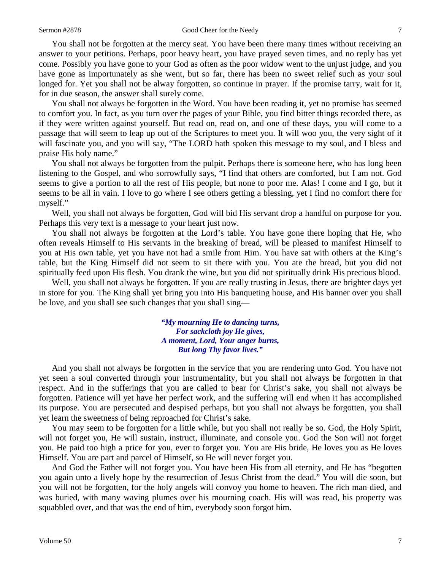## Sermon #2878 Good Cheer for the Needy 7

You shall not be forgotten at the mercy seat. You have been there many times without receiving an answer to your petitions. Perhaps, poor heavy heart, you have prayed seven times, and no reply has yet come. Possibly you have gone to your God as often as the poor widow went to the unjust judge, and you have gone as importunately as she went, but so far, there has been no sweet relief such as your soul longed for. Yet you shall not be alway forgotten, so continue in prayer. If the promise tarry, wait for it, for in due season, the answer shall surely come.

You shall not always be forgotten in the Word. You have been reading it, yet no promise has seemed to comfort you. In fact, as you turn over the pages of your Bible, you find bitter things recorded there, as if they were written against yourself. But read on, read on, and one of these days, you will come to a passage that will seem to leap up out of the Scriptures to meet you. It will woo you, the very sight of it will fascinate you, and you will say, "The LORD hath spoken this message to my soul, and I bless and praise His holy name."

You shall not always be forgotten from the pulpit. Perhaps there is someone here, who has long been listening to the Gospel, and who sorrowfully says, "I find that others are comforted, but I am not. God seems to give a portion to all the rest of His people, but none to poor me. Alas! I come and I go, but it seems to be all in vain. I love to go where I see others getting a blessing, yet I find no comfort there for myself."

Well, you shall not always be forgotten, God will bid His servant drop a handful on purpose for you. Perhaps this very text is a message to your heart just now.

You shall not always be forgotten at the Lord's table. You have gone there hoping that He, who often reveals Himself to His servants in the breaking of bread, will be pleased to manifest Himself to you at His own table, yet you have not had a smile from Him. You have sat with others at the King's table, but the King Himself did not seem to sit there with you. You ate the bread, but you did not spiritually feed upon His flesh. You drank the wine, but you did not spiritually drink His precious blood.

Well, you shall not always be forgotten. If you are really trusting in Jesus, there are brighter days yet in store for you. The King shall yet bring you into His banqueting house, and His banner over you shall be love, and you shall see such changes that you shall sing—

> *"My mourning He to dancing turns, For sackcloth joy He gives, A moment, Lord, Your anger burns, But long Thy favor lives."*

And you shall not always be forgotten in the service that you are rendering unto God. You have not yet seen a soul converted through your instrumentality, but you shall not always be forgotten in that respect. And in the sufferings that you are called to bear for Christ's sake, you shall not always be forgotten. Patience will yet have her perfect work, and the suffering will end when it has accomplished its purpose. You are persecuted and despised perhaps, but you shall not always be forgotten, you shall yet learn the sweetness of being reproached for Christ's sake.

You may seem to be forgotten for a little while, but you shall not really be so. God, the Holy Spirit, will not forget you, He will sustain, instruct, illuminate, and console you. God the Son will not forget you. He paid too high a price for you, ever to forget you. You are His bride, He loves you as He loves Himself. You are part and parcel of Himself, so He will never forget you.

And God the Father will not forget you. You have been His from all eternity, and He has "begotten you again unto a lively hope by the resurrection of Jesus Christ from the dead." You will die soon, but you will not be forgotten, for the holy angels will convoy you home to heaven. The rich man died, and was buried, with many waving plumes over his mourning coach. His will was read, his property was squabbled over, and that was the end of him, everybody soon forgot him.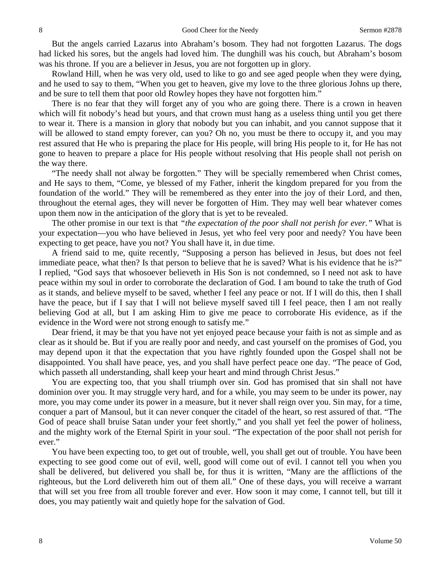But the angels carried Lazarus into Abraham's bosom. They had not forgotten Lazarus. The dogs had licked his sores, but the angels had loved him. The dunghill was his couch, but Abraham's bosom was his throne. If you are a believer in Jesus, you are not forgotten up in glory.

Rowland Hill, when he was very old, used to like to go and see aged people when they were dying, and he used to say to them, "When you get to heaven, give my love to the three glorious Johns up there, and be sure to tell them that poor old Rowley hopes they have not forgotten him."

There is no fear that they will forget any of you who are going there. There is a crown in heaven which will fit nobody's head but yours, and that crown must hang as a useless thing until you get there to wear it. There is a mansion in glory that nobody but you can inhabit, and you cannot suppose that it will be allowed to stand empty forever, can you? Oh no, you must be there to occupy it, and you may rest assured that He who is preparing the place for His people, will bring His people to it, for He has not gone to heaven to prepare a place for His people without resolving that His people shall not perish on the way there.

"The needy shall not alway be forgotten." They will be specially remembered when Christ comes, and He says to them, "Come, ye blessed of my Father, inherit the kingdom prepared for you from the foundation of the world." They will be remembered as they enter into the joy of their Lord, and then, throughout the eternal ages, they will never be forgotten of Him. They may well bear whatever comes upon them now in the anticipation of the glory that is yet to be revealed.

The other promise in our text is that *"the expectation of the poor shall not perish for ever."* What is your expectation—you who have believed in Jesus, yet who feel very poor and needy? You have been expecting to get peace, have you not? You shall have it, in due time.

A friend said to me, quite recently, "Supposing a person has believed in Jesus, but does not feel immediate peace, what then? Is that person to believe that he is saved? What is his evidence that he is?" I replied, "God says that whosoever believeth in His Son is not condemned, so I need not ask to have peace within my soul in order to corroborate the declaration of God. I am bound to take the truth of God as it stands, and believe myself to be saved, whether I feel any peace or not. If I will do this, then I shall have the peace, but if I say that I will not believe myself saved till I feel peace, then I am not really believing God at all, but I am asking Him to give me peace to corroborate His evidence, as if the evidence in the Word were not strong enough to satisfy me."

Dear friend, it may be that you have not yet enjoyed peace because your faith is not as simple and as clear as it should be. But if you are really poor and needy, and cast yourself on the promises of God, you may depend upon it that the expectation that you have rightly founded upon the Gospel shall not be disappointed. You shall have peace, yes, and you shall have perfect peace one day. "The peace of God, which passeth all understanding, shall keep your heart and mind through Christ Jesus."

You are expecting too, that you shall triumph over sin. God has promised that sin shall not have dominion over you. It may struggle very hard, and for a while, you may seem to be under its power, nay more, you may come under its power in a measure, but it never shall reign over you. Sin may, for a time, conquer a part of Mansoul, but it can never conquer the citadel of the heart, so rest assured of that. "The God of peace shall bruise Satan under your feet shortly," and you shall yet feel the power of holiness, and the mighty work of the Eternal Spirit in your soul. "The expectation of the poor shall not perish for ever."

You have been expecting too, to get out of trouble, well, you shall get out of trouble. You have been expecting to see good come out of evil, well, good will come out of evil. I cannot tell you when you shall be delivered, but delivered you shall be, for thus it is written, "Many are the afflictions of the righteous, but the Lord delivereth him out of them all." One of these days, you will receive a warrant that will set you free from all trouble forever and ever. How soon it may come, I cannot tell, but till it does, you may patiently wait and quietly hope for the salvation of God.